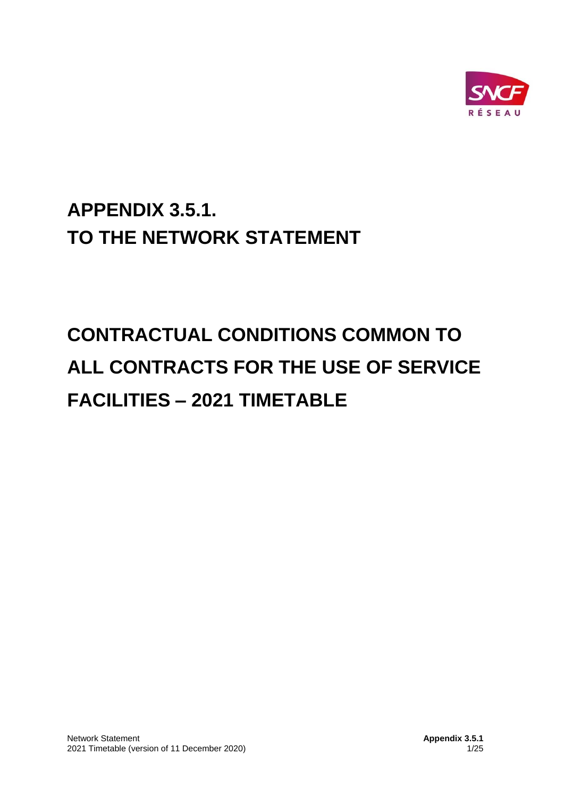

# **APPENDIX 3.5.1. TO THE NETWORK STATEMENT**

# **CONTRACTUAL CONDITIONS COMMON TO ALL CONTRACTS FOR THE USE OF SERVICE FACILITIES – 2021 TIMETABLE**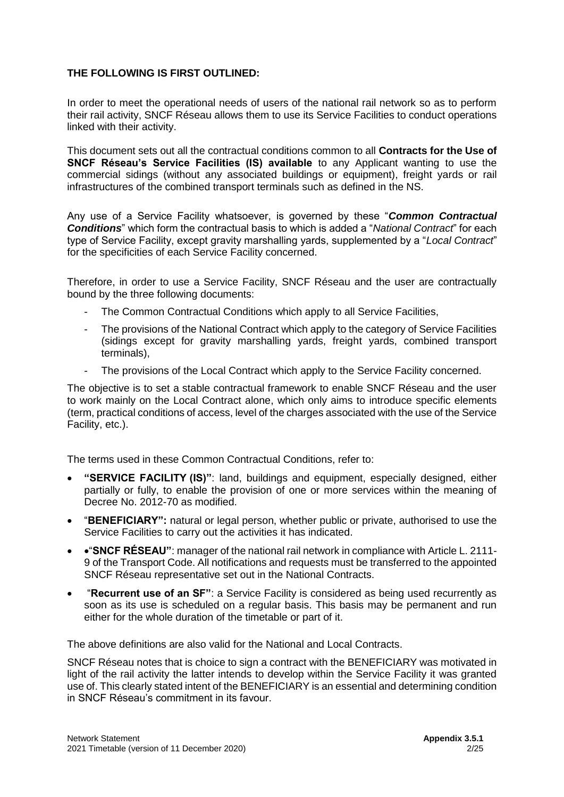#### **THE FOLLOWING IS FIRST OUTLINED:**

In order to meet the operational needs of users of the national rail network so as to perform their rail activity, SNCF Réseau allows them to use its Service Facilities to conduct operations linked with their activity.

This document sets out all the contractual conditions common to all **Contracts for the Use of SNCF Réseau's Service Facilities (IS) available** to any Applicant wanting to use the commercial sidings (without any associated buildings or equipment), freight yards or rail infrastructures of the combined transport terminals such as defined in the NS.

Any use of a Service Facility whatsoever, is governed by these "*Common Contractual Conditions*" which form the contractual basis to which is added a "*National Contract*" for each type of Service Facility, except gravity marshalling yards, supplemented by a "*Local Contract*" for the specificities of each Service Facility concerned.

Therefore, in order to use a Service Facility, SNCF Réseau and the user are contractually bound by the three following documents:

- The Common Contractual Conditions which apply to all Service Facilities,
- The provisions of the National Contract which apply to the category of Service Facilities (sidings except for gravity marshalling yards, freight yards, combined transport terminals),
- The provisions of the Local Contract which apply to the Service Facility concerned.

The objective is to set a stable contractual framework to enable SNCF Réseau and the user to work mainly on the Local Contract alone, which only aims to introduce specific elements (term, practical conditions of access, level of the charges associated with the use of the Service Facility, etc.).

The terms used in these Common Contractual Conditions, refer to:

- **"SERVICE FACILITY (IS)"**: land, buildings and equipment, especially designed, either partially or fully, to enable the provision of one or more services within the meaning of Decree No. 2012-70 as modified.
- "**BENEFICIARY":** natural or legal person, whether public or private, authorised to use the Service Facilities to carry out the activities it has indicated.
- •"**SNCF RÉSEAU"**: manager of the national rail network in compliance with Article L. 2111- 9 of the Transport Code. All notifications and requests must be transferred to the appointed SNCF Réseau representative set out in the National Contracts.
- "**Recurrent use of an SF"**: a Service Facility is considered as being used recurrently as soon as its use is scheduled on a regular basis. This basis may be permanent and run either for the whole duration of the timetable or part of it.

The above definitions are also valid for the National and Local Contracts.

SNCF Réseau notes that is choice to sign a contract with the BENEFICIARY was motivated in light of the rail activity the latter intends to develop within the Service Facility it was granted use of. This clearly stated intent of the BENEFICIARY is an essential and determining condition in SNCF Réseau's commitment in its favour.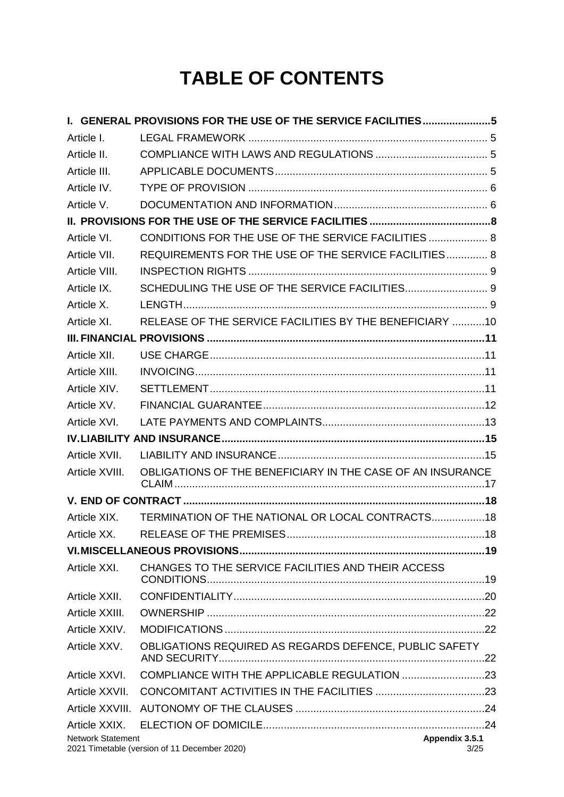# **TABLE OF CONTENTS**

|                          | I. GENERAL PROVISIONS FOR THE USE OF THE SERVICE FACILITIES5 |                        |  |
|--------------------------|--------------------------------------------------------------|------------------------|--|
| Article I.               |                                                              |                        |  |
| Article II.              |                                                              |                        |  |
| Article III.             |                                                              |                        |  |
| Article IV.              |                                                              |                        |  |
| Article V.               |                                                              |                        |  |
|                          |                                                              |                        |  |
| Article VI.              | CONDITIONS FOR THE USE OF THE SERVICE FACILITIES 8           |                        |  |
| Article VII.             | REQUIREMENTS FOR THE USE OF THE SERVICE FACILITIES 8         |                        |  |
| Article VIII.            |                                                              |                        |  |
| Article IX.              | SCHEDULING THE USE OF THE SERVICE FACILITIES 9               |                        |  |
| Article X.               |                                                              |                        |  |
| Article XI.              | RELEASE OF THE SERVICE FACILITIES BY THE BENEFICIARY 10      |                        |  |
|                          |                                                              |                        |  |
| Article XII.             |                                                              |                        |  |
| Article XIII.            |                                                              |                        |  |
| Article XIV.             |                                                              |                        |  |
| Article XV.              |                                                              |                        |  |
| Article XVI.             |                                                              |                        |  |
|                          |                                                              |                        |  |
| Article XVII.            |                                                              |                        |  |
| Article XVIII.           | OBLIGATIONS OF THE BENEFICIARY IN THE CASE OF AN INSURANCE   |                        |  |
|                          |                                                              |                        |  |
| Article XIX.             | TERMINATION OF THE NATIONAL OR LOCAL CONTRACTS 18            |                        |  |
| Article XX.              |                                                              |                        |  |
|                          |                                                              |                        |  |
| Article XXI.             | CHANGES TO THE SERVICE FACILITIES AND THEIR ACCESS           |                        |  |
| Article XXII.            |                                                              |                        |  |
| Article XXIII.           |                                                              |                        |  |
| Article XXIV.            |                                                              |                        |  |
| Article XXV.             | OBLIGATIONS REQUIRED AS REGARDS DEFENCE, PUBLIC SAFETY       |                        |  |
| Article XXVI.            |                                                              |                        |  |
| Article XXVII.           |                                                              |                        |  |
| Article XXVIII.          |                                                              |                        |  |
| Article XXIX.            |                                                              |                        |  |
| <b>Network Statement</b> | 2021 Timetable (version of 11 December 2020)                 | Appendix 3.5.1<br>3/25 |  |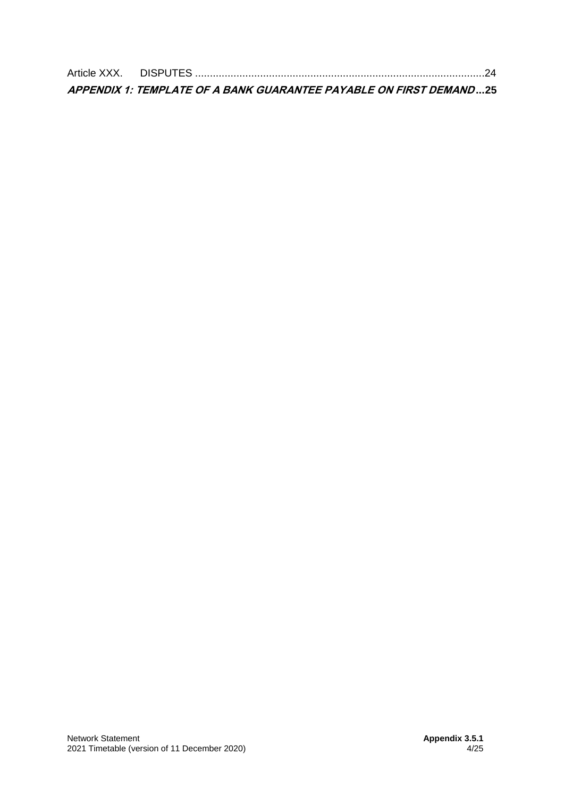| APPENDIX 1: TEMPLATE OF A BANK GUARANTEE PAYABLE ON FIRST DEMAND25 |  |
|--------------------------------------------------------------------|--|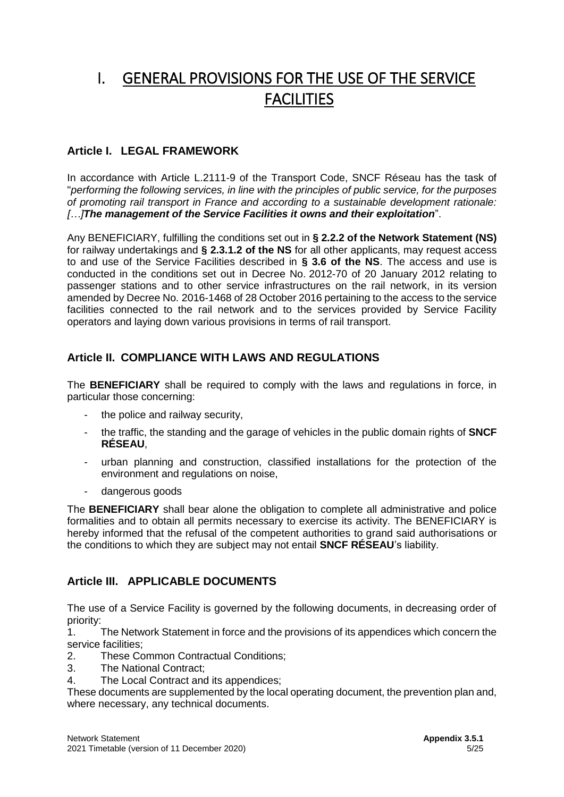# <span id="page-4-0"></span>I. GENERAL PROVISIONS FOR THE USE OF THE SERVICE **FACILITIES**

# <span id="page-4-1"></span>**Article I. LEGAL FRAMEWORK**

In accordance with Article L.2111-9 of the Transport Code, SNCF Réseau has the task of "*performing the following services, in line with the principles of public service, for the purposes of promoting rail transport in France and according to a sustainable development rationale: […]The management of the Service Facilities it owns and their exploitation*".

Any BENEFICIARY, fulfilling the conditions set out in **§ 2.2.2 of the Network Statement (NS)**  for railway undertakings and **§ 2.3.1.2 of the NS** for all other applicants, may request access to and use of the Service Facilities described in **§ 3.6 of the NS**. The access and use is conducted in the conditions set out in Decree No. 2012-70 of 20 January 2012 relating to passenger stations and to other service infrastructures on the rail network, in its version amended by Decree No. 2016-1468 of 28 October 2016 pertaining to the access to the service facilities connected to the rail network and to the services provided by Service Facility operators and laying down various provisions in terms of rail transport.

# <span id="page-4-2"></span>**Article II. COMPLIANCE WITH LAWS AND REGULATIONS**

The **BENEFICIARY** shall be required to comply with the laws and regulations in force, in particular those concerning:

- the police and railway security.
- the traffic, the standing and the garage of vehicles in the public domain rights of **SNCF RÉSEAU**,
- urban planning and construction, classified installations for the protection of the environment and regulations on noise,
- dangerous goods

The **BENEFICIARY** shall bear alone the obligation to complete all administrative and police formalities and to obtain all permits necessary to exercise its activity. The BENEFICIARY is hereby informed that the refusal of the competent authorities to grand said authorisations or the conditions to which they are subject may not entail **SNCF RÉSEAU**'s liability.

# <span id="page-4-3"></span>**Article III. APPLICABLE DOCUMENTS**

The use of a Service Facility is governed by the following documents, in decreasing order of priority:

1. The Network Statement in force and the provisions of its appendices which concern the service facilities;

- 2. These Common Contractual Conditions;
- 3. The National Contract;
- 4. The Local Contract and its appendices;

These documents are supplemented by the local operating document, the prevention plan and, where necessary, any technical documents.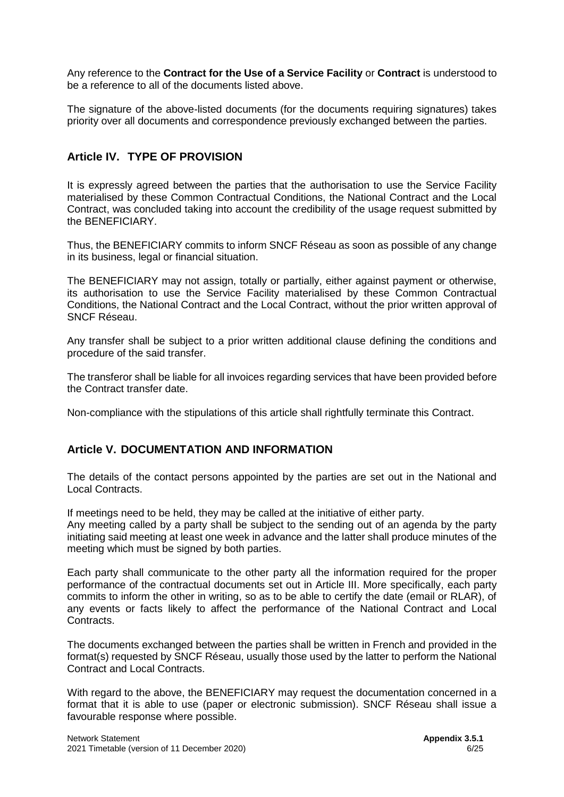Any reference to the **Contract for the Use of a Service Facility** or **Contract** is understood to be a reference to all of the documents listed above.

The signature of the above-listed documents (for the documents requiring signatures) takes priority over all documents and correspondence previously exchanged between the parties.

### <span id="page-5-0"></span>**Article IV. TYPE OF PROVISION**

It is expressly agreed between the parties that the authorisation to use the Service Facility materialised by these Common Contractual Conditions, the National Contract and the Local Contract, was concluded taking into account the credibility of the usage request submitted by the BENEFICIARY.

Thus, the BENEFICIARY commits to inform SNCF Réseau as soon as possible of any change in its business, legal or financial situation.

The BENEFICIARY may not assign, totally or partially, either against payment or otherwise, its authorisation to use the Service Facility materialised by these Common Contractual Conditions, the National Contract and the Local Contract, without the prior written approval of SNCF Réseau.

Any transfer shall be subject to a prior written additional clause defining the conditions and procedure of the said transfer.

The transferor shall be liable for all invoices regarding services that have been provided before the Contract transfer date.

Non-compliance with the stipulations of this article shall rightfully terminate this Contract.

### <span id="page-5-1"></span>**Article V. DOCUMENTATION AND INFORMATION**

The details of the contact persons appointed by the parties are set out in the National and Local Contracts.

If meetings need to be held, they may be called at the initiative of either party. Any meeting called by a party shall be subject to the sending out of an agenda by the party initiating said meeting at least one week in advance and the latter shall produce minutes of the meeting which must be signed by both parties.

Each party shall communicate to the other party all the information required for the proper performance of the contractual documents set out in Article III. More specifically, each party commits to inform the other in writing, so as to be able to certify the date (email or RLAR), of any events or facts likely to affect the performance of the National Contract and Local Contracts.

The documents exchanged between the parties shall be written in French and provided in the format(s) requested by SNCF Réseau, usually those used by the latter to perform the National Contract and Local Contracts.

With regard to the above, the BENEFICIARY may request the documentation concerned in a format that it is able to use (paper or electronic submission). SNCF Réseau shall issue a favourable response where possible.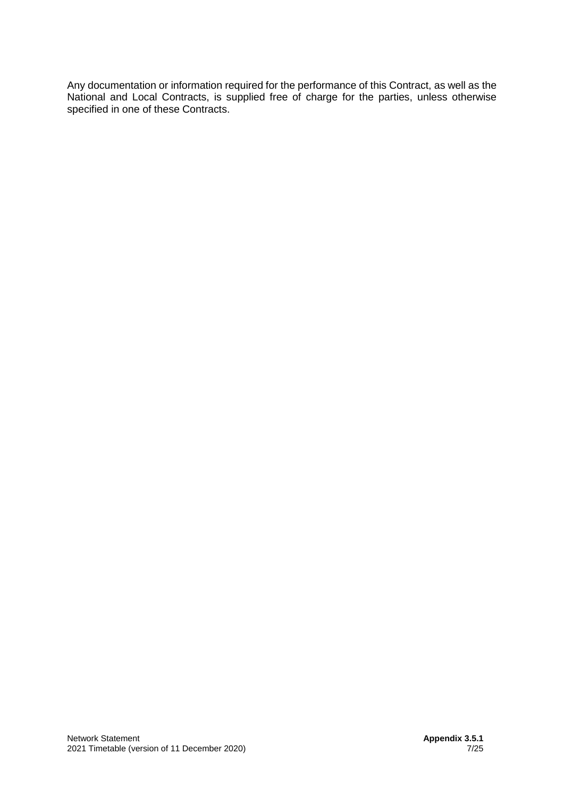Any documentation or information required for the performance of this Contract, as well as the National and Local Contracts, is supplied free of charge for the parties, unless otherwise specified in one of these Contracts.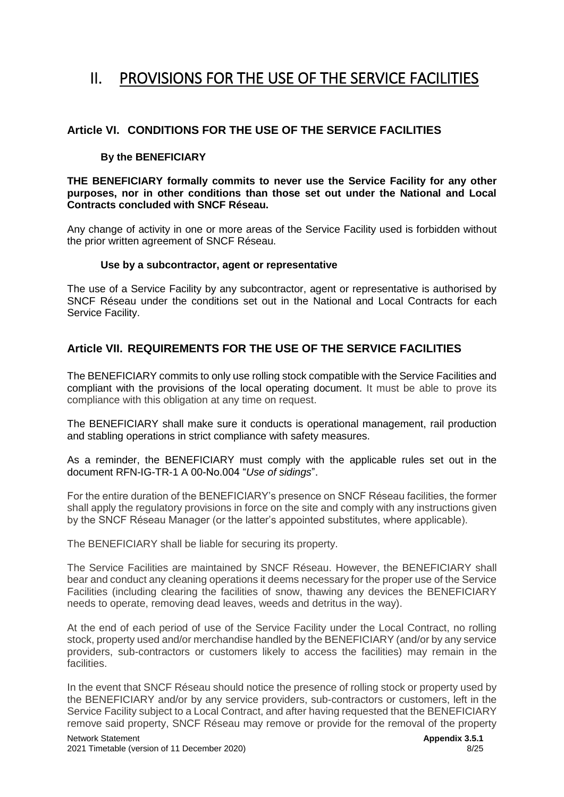# <span id="page-7-0"></span>II. PROVISIONS FOR THE USE OF THE SERVICE FACILITIES

# <span id="page-7-1"></span>**Article VI. CONDITIONS FOR THE USE OF THE SERVICE FACILITIES**

#### **By the BENEFICIARY**

**THE BENEFICIARY formally commits to never use the Service Facility for any other purposes, nor in other conditions than those set out under the National and Local Contracts concluded with SNCF Réseau.**

Any change of activity in one or more areas of the Service Facility used is forbidden without the prior written agreement of SNCF Réseau.

#### **Use by a subcontractor, agent or representative**

The use of a Service Facility by any subcontractor, agent or representative is authorised by SNCF Réseau under the conditions set out in the National and Local Contracts for each Service Facility.

# <span id="page-7-2"></span>**Article VII. REQUIREMENTS FOR THE USE OF THE SERVICE FACILITIES**

The BENEFICIARY commits to only use rolling stock compatible with the Service Facilities and compliant with the provisions of the local operating document. It must be able to prove its compliance with this obligation at any time on request.

The BENEFICIARY shall make sure it conducts is operational management, rail production and stabling operations in strict compliance with safety measures.

As a reminder, the BENEFICIARY must comply with the applicable rules set out in the document RFN-IG-TR-1 A 00-No.004 "*Use of sidings*".

For the entire duration of the BENEFICIARY's presence on SNCF Réseau facilities, the former shall apply the regulatory provisions in force on the site and comply with any instructions given by the SNCF Réseau Manager (or the latter's appointed substitutes, where applicable).

The BENEFICIARY shall be liable for securing its property.

The Service Facilities are maintained by SNCF Réseau. However, the BENEFICIARY shall bear and conduct any cleaning operations it deems necessary for the proper use of the Service Facilities (including clearing the facilities of snow, thawing any devices the BENEFICIARY needs to operate, removing dead leaves, weeds and detritus in the way).

At the end of each period of use of the Service Facility under the Local Contract, no rolling stock, property used and/or merchandise handled by the BENEFICIARY (and/or by any service providers, sub-contractors or customers likely to access the facilities) may remain in the facilities.

In the event that SNCF Réseau should notice the presence of rolling stock or property used by the BENEFICIARY and/or by any service providers, sub-contractors or customers, left in the Service Facility subject to a Local Contract, and after having requested that the BENEFICIARY remove said property, SNCF Réseau may remove or provide for the removal of the property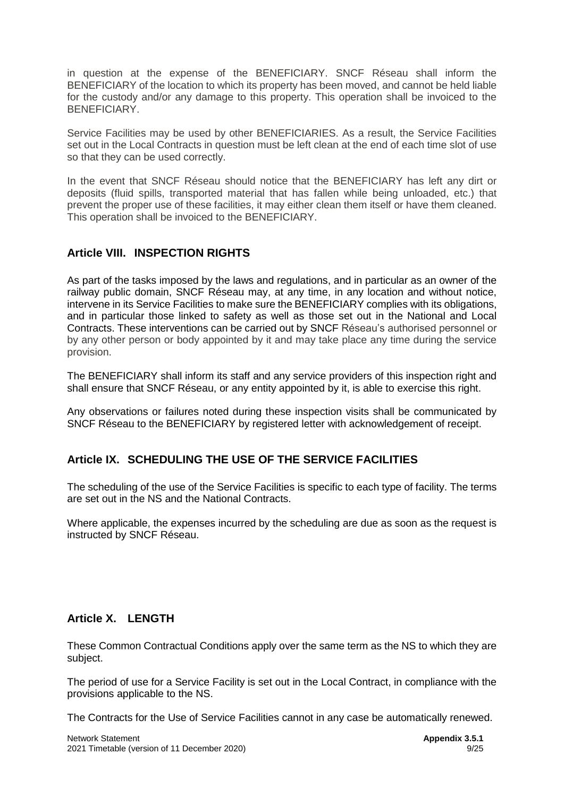in question at the expense of the BENEFICIARY. SNCF Réseau shall inform the BENEFICIARY of the location to which its property has been moved, and cannot be held liable for the custody and/or any damage to this property. This operation shall be invoiced to the BENEFICIARY.

Service Facilities may be used by other BENEFICIARIES. As a result, the Service Facilities set out in the Local Contracts in question must be left clean at the end of each time slot of use so that they can be used correctly.

In the event that SNCF Réseau should notice that the BENEFICIARY has left any dirt or deposits (fluid spills, transported material that has fallen while being unloaded, etc.) that prevent the proper use of these facilities, it may either clean them itself or have them cleaned. This operation shall be invoiced to the BENEFICIARY.

# <span id="page-8-0"></span>**Article VIII. INSPECTION RIGHTS**

As part of the tasks imposed by the laws and regulations, and in particular as an owner of the railway public domain, SNCF Réseau may, at any time, in any location and without notice, intervene in its Service Facilities to make sure the BENEFICIARY complies with its obligations, and in particular those linked to safety as well as those set out in the National and Local Contracts. These interventions can be carried out by SNCF Réseau's authorised personnel or by any other person or body appointed by it and may take place any time during the service provision.

The BENEFICIARY shall inform its staff and any service providers of this inspection right and shall ensure that SNCF Réseau, or any entity appointed by it, is able to exercise this right.

Any observations or failures noted during these inspection visits shall be communicated by SNCF Réseau to the BENEFICIARY by registered letter with acknowledgement of receipt.

# <span id="page-8-1"></span>**Article IX. SCHEDULING THE USE OF THE SERVICE FACILITIES**

The scheduling of the use of the Service Facilities is specific to each type of facility. The terms are set out in the NS and the National Contracts.

Where applicable, the expenses incurred by the scheduling are due as soon as the request is instructed by SNCF Réseau.

# <span id="page-8-2"></span>**Article X. LENGTH**

These Common Contractual Conditions apply over the same term as the NS to which they are subject.

The period of use for a Service Facility is set out in the Local Contract, in compliance with the provisions applicable to the NS.

The Contracts for the Use of Service Facilities cannot in any case be automatically renewed.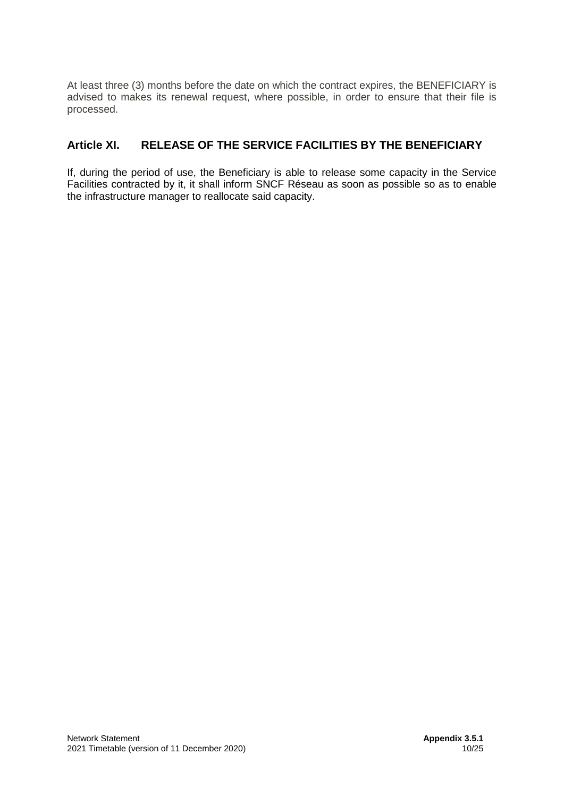At least three (3) months before the date on which the contract expires, the BENEFICIARY is advised to makes its renewal request, where possible, in order to ensure that their file is processed.

# <span id="page-9-0"></span>**Article XI. RELEASE OF THE SERVICE FACILITIES BY THE BENEFICIARY**

If, during the period of use, the Beneficiary is able to release some capacity in the Service Facilities contracted by it, it shall inform SNCF Réseau as soon as possible so as to enable the infrastructure manager to reallocate said capacity.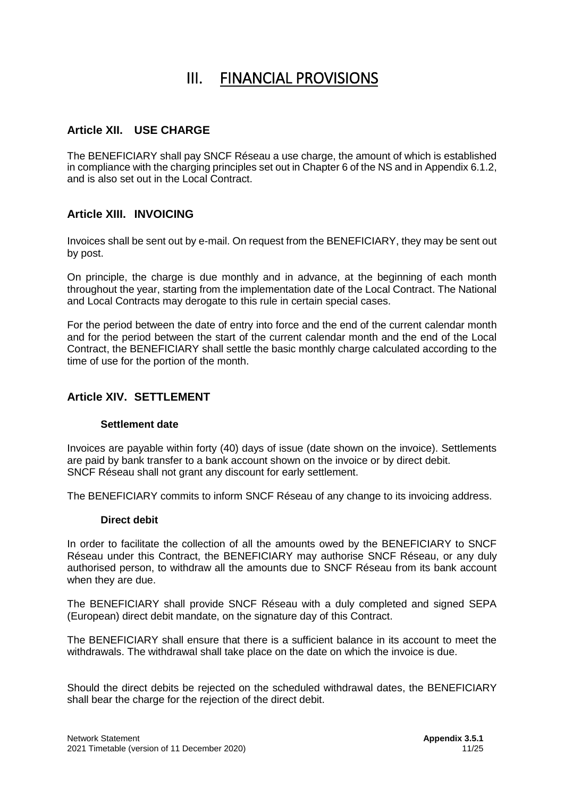# III. FINANCIAL PROVISIONS

# <span id="page-10-1"></span><span id="page-10-0"></span>**Article XII. USE CHARGE**

The BENEFICIARY shall pay SNCF Réseau a use charge, the amount of which is established in compliance with the charging principles set out in Chapter 6 of the NS and in Appendix 6.1.2, and is also set out in the Local Contract.

### <span id="page-10-2"></span>**Article XIII. INVOICING**

Invoices shall be sent out by e-mail. On request from the BENEFICIARY, they may be sent out by post.

On principle, the charge is due monthly and in advance, at the beginning of each month throughout the year, starting from the implementation date of the Local Contract. The National and Local Contracts may derogate to this rule in certain special cases.

For the period between the date of entry into force and the end of the current calendar month and for the period between the start of the current calendar month and the end of the Local Contract, the BENEFICIARY shall settle the basic monthly charge calculated according to the time of use for the portion of the month.

# <span id="page-10-3"></span>**Article XIV. SETTLEMENT**

#### **Settlement date**

Invoices are payable within forty (40) days of issue (date shown on the invoice). Settlements are paid by bank transfer to a bank account shown on the invoice or by direct debit. SNCF Réseau shall not grant any discount for early settlement.

The BENEFICIARY commits to inform SNCF Réseau of any change to its invoicing address.

#### **Direct debit**

In order to facilitate the collection of all the amounts owed by the BENEFICIARY to SNCF Réseau under this Contract, the BENEFICIARY may authorise SNCF Réseau, or any duly authorised person, to withdraw all the amounts due to SNCF Réseau from its bank account when they are due.

The BENEFICIARY shall provide SNCF Réseau with a duly completed and signed SEPA (European) direct debit mandate, on the signature day of this Contract.

The BENEFICIARY shall ensure that there is a sufficient balance in its account to meet the withdrawals. The withdrawal shall take place on the date on which the invoice is due.

Should the direct debits be rejected on the scheduled withdrawal dates, the BENEFICIARY shall bear the charge for the rejection of the direct debit.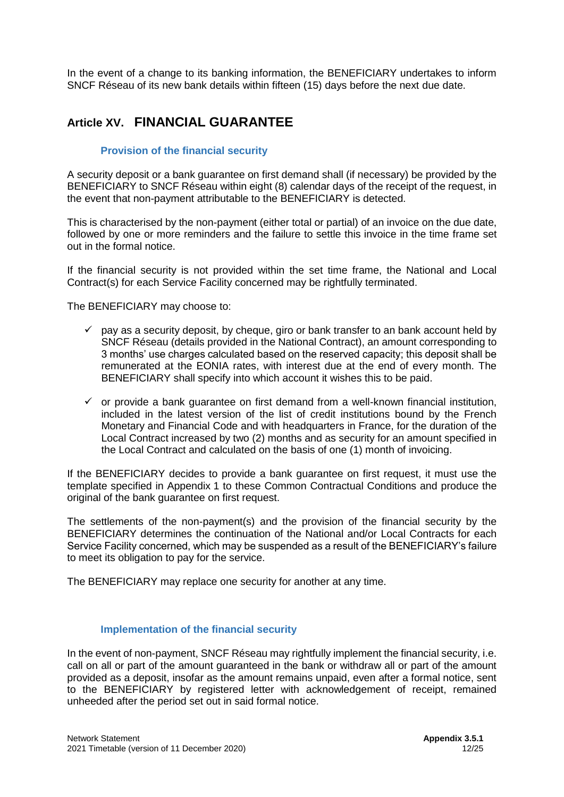In the event of a change to its banking information, the BENEFICIARY undertakes to inform SNCF Réseau of its new bank details within fifteen (15) days before the next due date.

# <span id="page-11-0"></span>**Article XV. FINANCIAL GUARANTEE**

#### **Provision of the financial security**

A security deposit or a bank guarantee on first demand shall (if necessary) be provided by the BENEFICIARY to SNCF Réseau within eight (8) calendar days of the receipt of the request, in the event that non-payment attributable to the BENEFICIARY is detected.

This is characterised by the non-payment (either total or partial) of an invoice on the due date, followed by one or more reminders and the failure to settle this invoice in the time frame set out in the formal notice.

If the financial security is not provided within the set time frame, the National and Local Contract(s) for each Service Facility concerned may be rightfully terminated.

The BENEFICIARY may choose to:

- $\checkmark$  pay as a security deposit, by cheque, giro or bank transfer to an bank account held by SNCF Réseau (details provided in the National Contract), an amount corresponding to 3 months' use charges calculated based on the reserved capacity; this deposit shall be remunerated at the EONIA rates, with interest due at the end of every month. The BENEFICIARY shall specify into which account it wishes this to be paid.
- $\checkmark$  or provide a bank guarantee on first demand from a well-known financial institution, included in the latest version of the list of credit institutions bound by the French Monetary and Financial Code and with headquarters in France, for the duration of the Local Contract increased by two (2) months and as security for an amount specified in the Local Contract and calculated on the basis of one (1) month of invoicing.

If the BENEFICIARY decides to provide a bank guarantee on first request, it must use the template specified in Appendix 1 to these Common Contractual Conditions and produce the original of the bank guarantee on first request.

The settlements of the non-payment(s) and the provision of the financial security by the BENEFICIARY determines the continuation of the National and/or Local Contracts for each Service Facility concerned, which may be suspended as a result of the BENEFICIARY's failure to meet its obligation to pay for the service.

The BENEFICIARY may replace one security for another at any time.

#### **Implementation of the financial security**

In the event of non-payment, SNCF Réseau may rightfully implement the financial security, i.e. call on all or part of the amount guaranteed in the bank or withdraw all or part of the amount provided as a deposit, insofar as the amount remains unpaid, even after a formal notice, sent to the BENEFICIARY by registered letter with acknowledgement of receipt, remained unheeded after the period set out in said formal notice.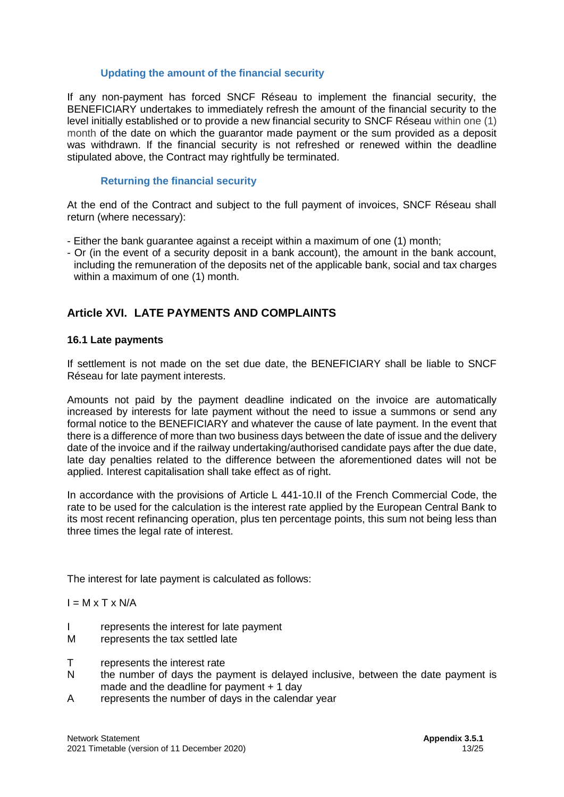#### **Updating the amount of the financial security**

If any non-payment has forced SNCF Réseau to implement the financial security, the BENEFICIARY undertakes to immediately refresh the amount of the financial security to the level initially established or to provide a new financial security to SNCF Réseau within one (1) month of the date on which the guarantor made payment or the sum provided as a deposit was withdrawn. If the financial security is not refreshed or renewed within the deadline stipulated above, the Contract may rightfully be terminated.

#### **Returning the financial security**

At the end of the Contract and subject to the full payment of invoices, SNCF Réseau shall return (where necessary):

- Either the bank guarantee against a receipt within a maximum of one (1) month;
- Or (in the event of a security deposit in a bank account), the amount in the bank account, including the remuneration of the deposits net of the applicable bank, social and tax charges within a maximum of one (1) month.

# <span id="page-12-0"></span>**Article XVI. LATE PAYMENTS AND COMPLAINTS**

#### **16.1 Late payments**

If settlement is not made on the set due date, the BENEFICIARY shall be liable to SNCF Réseau for late payment interests.

Amounts not paid by the payment deadline indicated on the invoice are automatically increased by interests for late payment without the need to issue a summons or send any formal notice to the BENEFICIARY and whatever the cause of late payment. In the event that there is a difference of more than two business days between the date of issue and the delivery date of the invoice and if the railway undertaking/authorised candidate pays after the due date, late day penalties related to the difference between the aforementioned dates will not be applied. Interest capitalisation shall take effect as of right.

In accordance with the provisions of Article L 441-10.II of the French Commercial Code, the rate to be used for the calculation is the interest rate applied by the European Central Bank to its most recent refinancing operation, plus ten percentage points, this sum not being less than three times the legal rate of interest.

The interest for late payment is calculated as follows:

 $I = M \times T \times N/A$ 

- I represents the interest for late payment
- M represents the tax settled late
- T represents the interest rate
- N the number of days the payment is delayed inclusive, between the date payment is made and the deadline for payment + 1 day
- A represents the number of days in the calendar year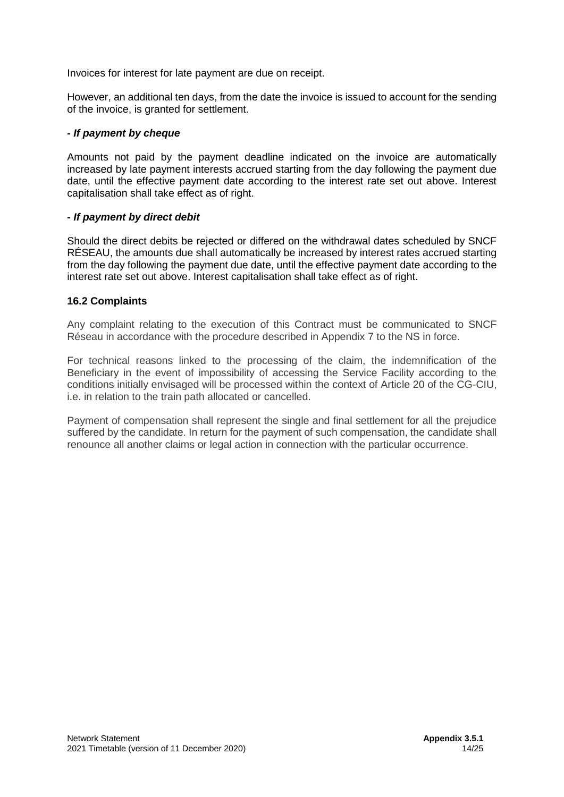Invoices for interest for late payment are due on receipt.

However, an additional ten days, from the date the invoice is issued to account for the sending of the invoice, is granted for settlement.

#### *- If payment by cheque*

Amounts not paid by the payment deadline indicated on the invoice are automatically increased by late payment interests accrued starting from the day following the payment due date, until the effective payment date according to the interest rate set out above. Interest capitalisation shall take effect as of right.

#### **-** *If payment by direct debit*

Should the direct debits be rejected or differed on the withdrawal dates scheduled by SNCF RÉSEAU, the amounts due shall automatically be increased by interest rates accrued starting from the day following the payment due date, until the effective payment date according to the interest rate set out above. Interest capitalisation shall take effect as of right.

#### **16.2 Complaints**

Any complaint relating to the execution of this Contract must be communicated to SNCF Réseau in accordance with the procedure described in Appendix 7 to the NS in force.

For technical reasons linked to the processing of the claim, the indemnification of the Beneficiary in the event of impossibility of accessing the Service Facility according to the conditions initially envisaged will be processed within the context of Article 20 of the CG-CIU, i.e. in relation to the train path allocated or cancelled.

Payment of compensation shall represent the single and final settlement for all the prejudice suffered by the candidate. In return for the payment of such compensation, the candidate shall renounce all another claims or legal action in connection with the particular occurrence.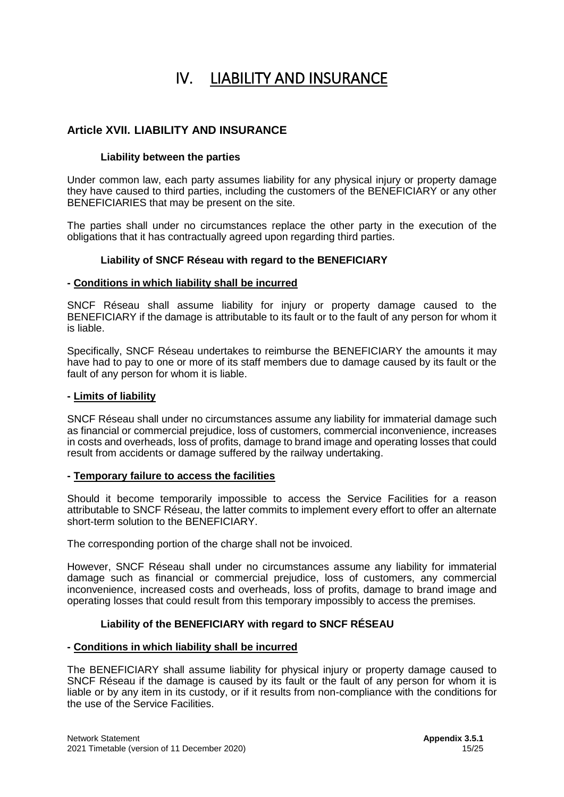# IV. LIABILITY AND INSURANCE

# <span id="page-14-1"></span><span id="page-14-0"></span>**Article XVII. LIABILITY AND INSURANCE**

#### **Liability between the parties**

Under common law, each party assumes liability for any physical injury or property damage they have caused to third parties, including the customers of the BENEFICIARY or any other BENEFICIARIES that may be present on the site.

The parties shall under no circumstances replace the other party in the execution of the obligations that it has contractually agreed upon regarding third parties.

#### **Liability of SNCF Réseau with regard to the BENEFICIARY**

#### **- Conditions in which liability shall be incurred**

SNCF Réseau shall assume liability for injury or property damage caused to the BENEFICIARY if the damage is attributable to its fault or to the fault of any person for whom it is liable.

Specifically, SNCF Réseau undertakes to reimburse the BENEFICIARY the amounts it may have had to pay to one or more of its staff members due to damage caused by its fault or the fault of any person for whom it is liable.

#### **- Limits of liability**

SNCF Réseau shall under no circumstances assume any liability for immaterial damage such as financial or commercial prejudice, loss of customers, commercial inconvenience, increases in costs and overheads, loss of profits, damage to brand image and operating losses that could result from accidents or damage suffered by the railway undertaking.

#### **- Temporary failure to access the facilities**

Should it become temporarily impossible to access the Service Facilities for a reason attributable to SNCF Réseau, the latter commits to implement every effort to offer an alternate short-term solution to the BENEFICIARY.

The corresponding portion of the charge shall not be invoiced.

However, SNCF Réseau shall under no circumstances assume any liability for immaterial damage such as financial or commercial prejudice, loss of customers, any commercial inconvenience, increased costs and overheads, loss of profits, damage to brand image and operating losses that could result from this temporary impossibly to access the premises.

#### **Liability of the BENEFICIARY with regard to SNCF RÉSEAU**

#### **- Conditions in which liability shall be incurred**

The BENEFICIARY shall assume liability for physical injury or property damage caused to SNCF Réseau if the damage is caused by its fault or the fault of any person for whom it is liable or by any item in its custody, or if it results from non-compliance with the conditions for the use of the Service Facilities.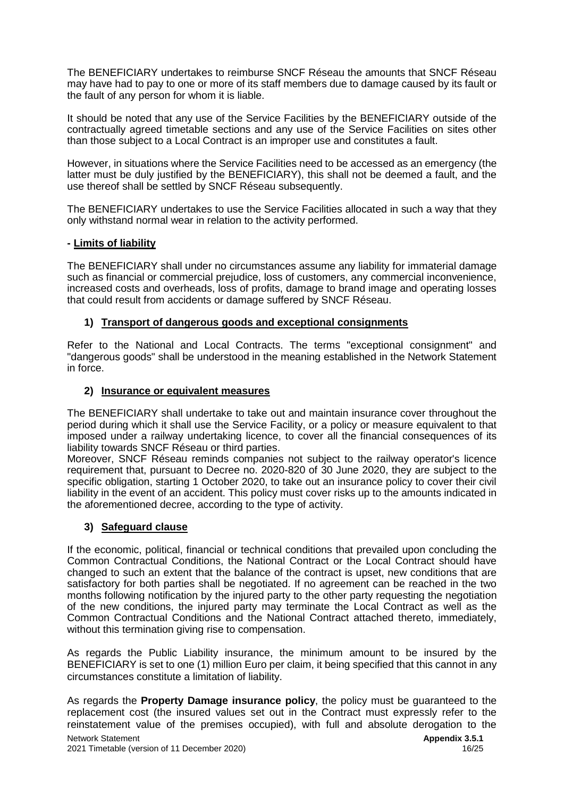The BENEFICIARY undertakes to reimburse SNCF Réseau the amounts that SNCF Réseau may have had to pay to one or more of its staff members due to damage caused by its fault or the fault of any person for whom it is liable.

It should be noted that any use of the Service Facilities by the BENEFICIARY outside of the contractually agreed timetable sections and any use of the Service Facilities on sites other than those subject to a Local Contract is an improper use and constitutes a fault.

However, in situations where the Service Facilities need to be accessed as an emergency (the latter must be duly justified by the BENEFICIARY), this shall not be deemed a fault, and the use thereof shall be settled by SNCF Réseau subsequently.

The BENEFICIARY undertakes to use the Service Facilities allocated in such a way that they only withstand normal wear in relation to the activity performed.

#### **- Limits of liability**

The BENEFICIARY shall under no circumstances assume any liability for immaterial damage such as financial or commercial prejudice, loss of customers, any commercial inconvenience, increased costs and overheads, loss of profits, damage to brand image and operating losses that could result from accidents or damage suffered by SNCF Réseau.

#### **1) Transport of dangerous goods and exceptional consignments**

Refer to the National and Local Contracts. The terms "exceptional consignment" and "dangerous goods" shall be understood in the meaning established in the Network Statement in force.

#### **2) Insurance or equivalent measures**

The BENEFICIARY shall undertake to take out and maintain insurance cover throughout the period during which it shall use the Service Facility, or a policy or measure equivalent to that imposed under a railway undertaking licence, to cover all the financial consequences of its liability towards SNCF Réseau or third parties.

Moreover, SNCF Réseau reminds companies not subject to the railway operator's licence requirement that, pursuant to Decree no. 2020-820 of 30 June 2020, they are subject to the specific obligation, starting 1 October 2020, to take out an insurance policy to cover their civil liability in the event of an accident. This policy must cover risks up to the amounts indicated in the aforementioned decree, according to the type of activity.

#### **3) Safeguard clause**

If the economic, political, financial or technical conditions that prevailed upon concluding the Common Contractual Conditions, the National Contract or the Local Contract should have changed to such an extent that the balance of the contract is upset, new conditions that are satisfactory for both parties shall be negotiated. If no agreement can be reached in the two months following notification by the injured party to the other party requesting the negotiation of the new conditions, the injured party may terminate the Local Contract as well as the Common Contractual Conditions and the National Contract attached thereto, immediately, without this termination giving rise to compensation.

As regards the Public Liability insurance, the minimum amount to be insured by the BENEFICIARY is set to one (1) million Euro per claim, it being specified that this cannot in any circumstances constitute a limitation of liability.

As regards the **Property Damage insurance policy**, the policy must be guaranteed to the replacement cost (the insured values set out in the Contract must expressly refer to the reinstatement value of the premises occupied), with full and absolute derogation to the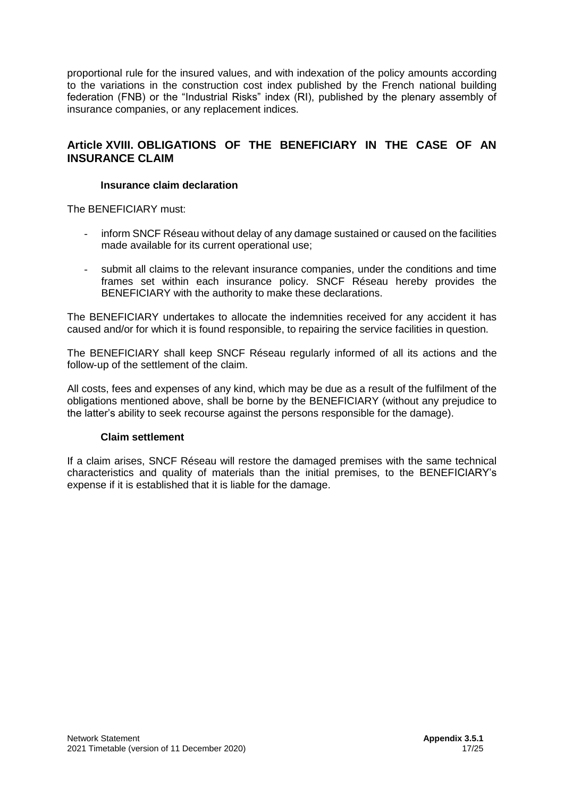proportional rule for the insured values, and with indexation of the policy amounts according to the variations in the construction cost index published by the French national building federation (FNB) or the "Industrial Risks" index (RI), published by the plenary assembly of insurance companies, or any replacement indices.

# **Article XVIII. OBLIGATIONS OF THE BENEFICIARY IN THE CASE OF AN INSURANCE CLAIM**

#### <span id="page-16-0"></span>**Insurance claim declaration**

The BENEFICIARY must:

- inform SNCF Réseau without delay of any damage sustained or caused on the facilities made available for its current operational use;
- submit all claims to the relevant insurance companies, under the conditions and time frames set within each insurance policy. SNCF Réseau hereby provides the BENEFICIARY with the authority to make these declarations.

The BENEFICIARY undertakes to allocate the indemnities received for any accident it has caused and/or for which it is found responsible, to repairing the service facilities in question.

The BENEFICIARY shall keep SNCF Réseau regularly informed of all its actions and the follow-up of the settlement of the claim.

All costs, fees and expenses of any kind, which may be due as a result of the fulfilment of the obligations mentioned above, shall be borne by the BENEFICIARY (without any prejudice to the latter's ability to seek recourse against the persons responsible for the damage).

#### **Claim settlement**

If a claim arises, SNCF Réseau will restore the damaged premises with the same technical characteristics and quality of materials than the initial premises, to the BENEFICIARY's expense if it is established that it is liable for the damage.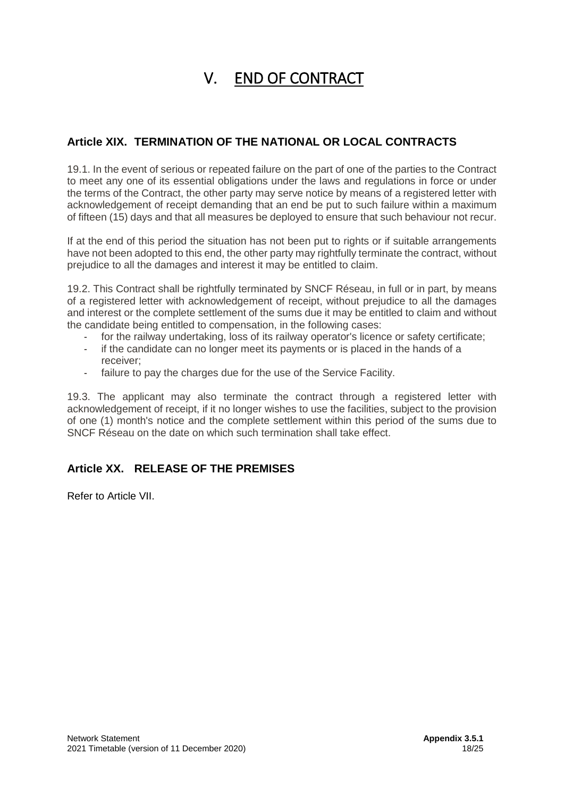# V. END OF CONTRACT

# <span id="page-17-1"></span><span id="page-17-0"></span>**Article XIX. TERMINATION OF THE NATIONAL OR LOCAL CONTRACTS**

19.1. In the event of serious or repeated failure on the part of one of the parties to the Contract to meet any one of its essential obligations under the laws and regulations in force or under the terms of the Contract, the other party may serve notice by means of a registered letter with acknowledgement of receipt demanding that an end be put to such failure within a maximum of fifteen (15) days and that all measures be deployed to ensure that such behaviour not recur.

If at the end of this period the situation has not been put to rights or if suitable arrangements have not been adopted to this end, the other party may rightfully terminate the contract, without prejudice to all the damages and interest it may be entitled to claim.

19.2. This Contract shall be rightfully terminated by SNCF Réseau, in full or in part, by means of a registered letter with acknowledgement of receipt, without prejudice to all the damages and interest or the complete settlement of the sums due it may be entitled to claim and without the candidate being entitled to compensation, in the following cases:

- for the railway undertaking, loss of its railway operator's licence or safety certificate;
- if the candidate can no longer meet its payments or is placed in the hands of a receiver;
- failure to pay the charges due for the use of the Service Facility.

19.3. The applicant may also terminate the contract through a registered letter with acknowledgement of receipt, if it no longer wishes to use the facilities, subject to the provision of one (1) month's notice and the complete settlement within this period of the sums due to SNCF Réseau on the date on which such termination shall take effect.

# <span id="page-17-2"></span>**Article XX. RELEASE OF THE PREMISES**

Refer to Article VII.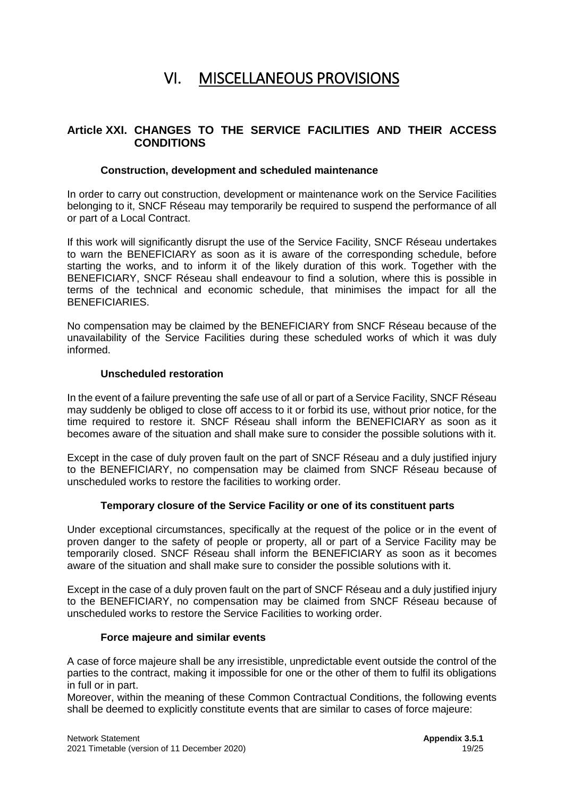# VI. MISCELLANEOUS PROVISIONS

### <span id="page-18-1"></span><span id="page-18-0"></span>**Article XXI. CHANGES TO THE SERVICE FACILITIES AND THEIR ACCESS CONDITIONS**

#### **Construction, development and scheduled maintenance**

In order to carry out construction, development or maintenance work on the Service Facilities belonging to it, SNCF Réseau may temporarily be required to suspend the performance of all or part of a Local Contract.

If this work will significantly disrupt the use of the Service Facility, SNCF Réseau undertakes to warn the BENEFICIARY as soon as it is aware of the corresponding schedule, before starting the works, and to inform it of the likely duration of this work. Together with the BENEFICIARY, SNCF Réseau shall endeavour to find a solution, where this is possible in terms of the technical and economic schedule, that minimises the impact for all the BENEFICIARIES.

No compensation may be claimed by the BENEFICIARY from SNCF Réseau because of the unavailability of the Service Facilities during these scheduled works of which it was duly informed.

#### **Unscheduled restoration**

In the event of a failure preventing the safe use of all or part of a Service Facility, SNCF Réseau may suddenly be obliged to close off access to it or forbid its use, without prior notice, for the time required to restore it. SNCF Réseau shall inform the BENEFICIARY as soon as it becomes aware of the situation and shall make sure to consider the possible solutions with it.

Except in the case of duly proven fault on the part of SNCF Réseau and a duly justified injury to the BENEFICIARY, no compensation may be claimed from SNCF Réseau because of unscheduled works to restore the facilities to working order.

#### **Temporary closure of the Service Facility or one of its constituent parts**

Under exceptional circumstances, specifically at the request of the police or in the event of proven danger to the safety of people or property, all or part of a Service Facility may be temporarily closed. SNCF Réseau shall inform the BENEFICIARY as soon as it becomes aware of the situation and shall make sure to consider the possible solutions with it.

Except in the case of a duly proven fault on the part of SNCF Réseau and a duly justified injury to the BENEFICIARY, no compensation may be claimed from SNCF Réseau because of unscheduled works to restore the Service Facilities to working order.

#### **Force majeure and similar events**

A case of force majeure shall be any irresistible, unpredictable event outside the control of the parties to the contract, making it impossible for one or the other of them to fulfil its obligations in full or in part.

Moreover, within the meaning of these Common Contractual Conditions, the following events shall be deemed to explicitly constitute events that are similar to cases of force majeure: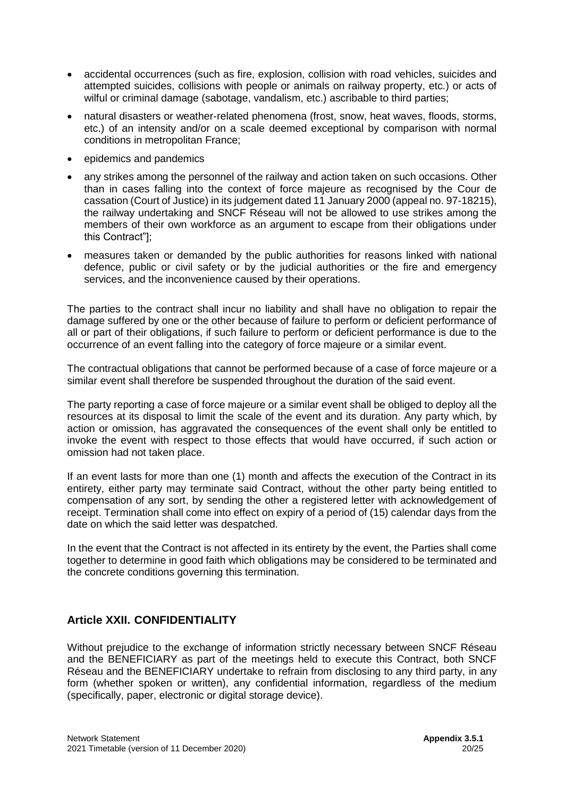- accidental occurrences (such as fire, explosion, collision with road vehicles, suicides and attempted suicides, collisions with people or animals on railway property, etc.) or acts of wilful or criminal damage (sabotage, vandalism, etc.) ascribable to third parties;
- natural disasters or weather-related phenomena (frost, snow, heat waves, floods, storms, etc.) of an intensity and/or on a scale deemed exceptional by comparison with normal conditions in metropolitan France;
- epidemics and pandemics
- any strikes among the personnel of the railway and action taken on such occasions. Other than in cases falling into the context of force majeure as recognised by the Cour de cassation (Court of Justice) in its judgement dated 11 January 2000 (appeal no. 97-18215), the railway undertaking and SNCF Réseau will not be allowed to use strikes among the members of their own workforce as an argument to escape from their obligations under this Contract"];
- measures taken or demanded by the public authorities for reasons linked with national defence, public or civil safety or by the judicial authorities or the fire and emergency services, and the inconvenience caused by their operations.

The parties to the contract shall incur no liability and shall have no obligation to repair the damage suffered by one or the other because of failure to perform or deficient performance of all or part of their obligations, if such failure to perform or deficient performance is due to the occurrence of an event falling into the category of force majeure or a similar event.

The contractual obligations that cannot be performed because of a case of force majeure or a similar event shall therefore be suspended throughout the duration of the said event.

The party reporting a case of force majeure or a similar event shall be obliged to deploy all the resources at its disposal to limit the scale of the event and its duration. Any party which, by action or omission, has aggravated the consequences of the event shall only be entitled to invoke the event with respect to those effects that would have occurred, if such action or omission had not taken place.

If an event lasts for more than one (1) month and affects the execution of the Contract in its entirety, either party may terminate said Contract, without the other party being entitled to compensation of any sort, by sending the other a registered letter with acknowledgement of receipt. Termination shall come into effect on expiry of a period of (15) calendar days from the date on which the said letter was despatched.

In the event that the Contract is not affected in its entirety by the event, the Parties shall come together to determine in good faith which obligations may be considered to be terminated and the concrete conditions governing this termination.

# <span id="page-19-0"></span>**Article XXII. CONFIDENTIALITY**

Without prejudice to the exchange of information strictly necessary between SNCF Réseau and the BENEFICIARY as part of the meetings held to execute this Contract, both SNCF Réseau and the BENEFICIARY undertake to refrain from disclosing to any third party, in any form (whether spoken or written), any confidential information, regardless of the medium (specifically, paper, electronic or digital storage device).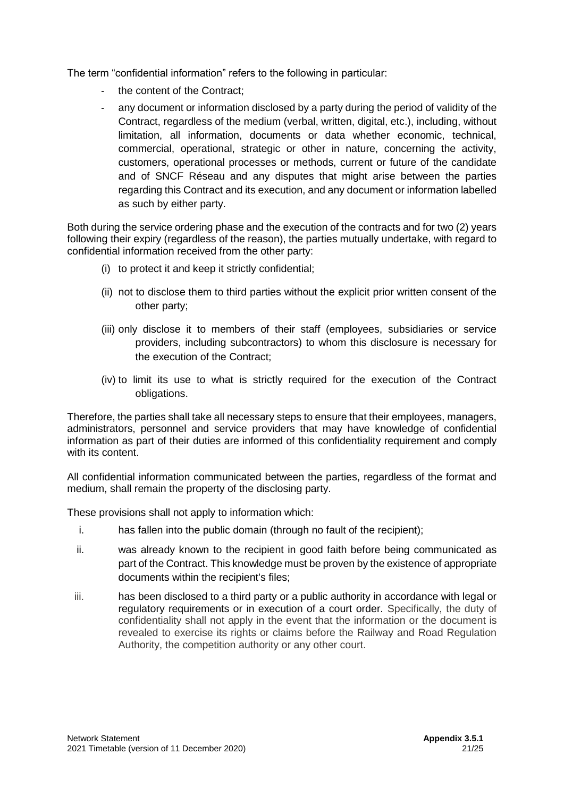The term "confidential information" refers to the following in particular:

- the content of the Contract:
- any document or information disclosed by a party during the period of validity of the Contract, regardless of the medium (verbal, written, digital, etc.), including, without limitation, all information, documents or data whether economic, technical, commercial, operational, strategic or other in nature, concerning the activity, customers, operational processes or methods, current or future of the candidate and of SNCF Réseau and any disputes that might arise between the parties regarding this Contract and its execution, and any document or information labelled as such by either party.

Both during the service ordering phase and the execution of the contracts and for two (2) years following their expiry (regardless of the reason), the parties mutually undertake, with regard to confidential information received from the other party:

- (i) to protect it and keep it strictly confidential;
- (ii) not to disclose them to third parties without the explicit prior written consent of the other party;
- (iii) only disclose it to members of their staff (employees, subsidiaries or service providers, including subcontractors) to whom this disclosure is necessary for the execution of the Contract;
- (iv) to limit its use to what is strictly required for the execution of the Contract obligations.

Therefore, the parties shall take all necessary steps to ensure that their employees, managers, administrators, personnel and service providers that may have knowledge of confidential information as part of their duties are informed of this confidentiality requirement and comply with its content.

All confidential information communicated between the parties, regardless of the format and medium, shall remain the property of the disclosing party.

These provisions shall not apply to information which:

- i. has fallen into the public domain (through no fault of the recipient);
- ii. was already known to the recipient in good faith before being communicated as part of the Contract. This knowledge must be proven by the existence of appropriate documents within the recipient's files;
- iii. has been disclosed to a third party or a public authority in accordance with legal or regulatory requirements or in execution of a court order. Specifically, the duty of confidentiality shall not apply in the event that the information or the document is revealed to exercise its rights or claims before the Railway and Road Regulation Authority, the competition authority or any other court.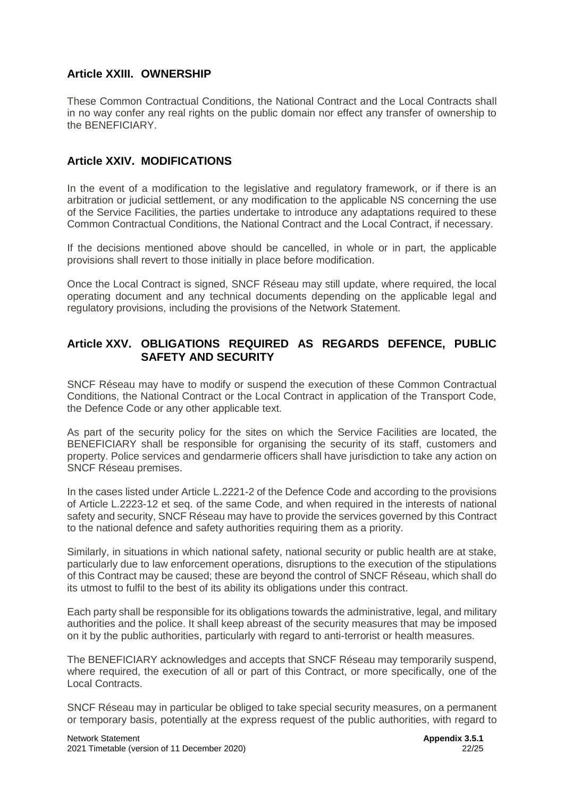## <span id="page-21-0"></span>**Article XXIII. OWNERSHIP**

These Common Contractual Conditions, the National Contract and the Local Contracts shall in no way confer any real rights on the public domain nor effect any transfer of ownership to the BENEFICIARY.

# <span id="page-21-1"></span>**Article XXIV. MODIFICATIONS**

In the event of a modification to the legislative and regulatory framework, or if there is an arbitration or judicial settlement, or any modification to the applicable NS concerning the use of the Service Facilities, the parties undertake to introduce any adaptations required to these Common Contractual Conditions, the National Contract and the Local Contract, if necessary.

If the decisions mentioned above should be cancelled, in whole or in part, the applicable provisions shall revert to those initially in place before modification.

Once the Local Contract is signed, SNCF Réseau may still update, where required, the local operating document and any technical documents depending on the applicable legal and regulatory provisions, including the provisions of the Network Statement.

# <span id="page-21-2"></span>**Article XXV. OBLIGATIONS REQUIRED AS REGARDS DEFENCE, PUBLIC SAFETY AND SECURITY**

SNCF Réseau may have to modify or suspend the execution of these Common Contractual Conditions, the National Contract or the Local Contract in application of the Transport Code, the Defence Code or any other applicable text.

As part of the security policy for the sites on which the Service Facilities are located, the BENEFICIARY shall be responsible for organising the security of its staff, customers and property. Police services and gendarmerie officers shall have jurisdiction to take any action on SNCF Réseau premises.

In the cases listed under Article L.2221-2 of the Defence Code and according to the provisions of Article L.2223-12 et seq. of the same Code, and when required in the interests of national safety and security, SNCF Réseau may have to provide the services governed by this Contract to the national defence and safety authorities requiring them as a priority.

Similarly, in situations in which national safety, national security or public health are at stake, particularly due to law enforcement operations, disruptions to the execution of the stipulations of this Contract may be caused; these are beyond the control of SNCF Réseau, which shall do its utmost to fulfil to the best of its ability its obligations under this contract.

Each party shall be responsible for its obligations towards the administrative, legal, and military authorities and the police. It shall keep abreast of the security measures that may be imposed on it by the public authorities, particularly with regard to anti-terrorist or health measures.

The BENEFICIARY acknowledges and accepts that SNCF Réseau may temporarily suspend, where required, the execution of all or part of this Contract, or more specifically, one of the Local Contracts.

SNCF Réseau may in particular be obliged to take special security measures, on a permanent or temporary basis, potentially at the express request of the public authorities, with regard to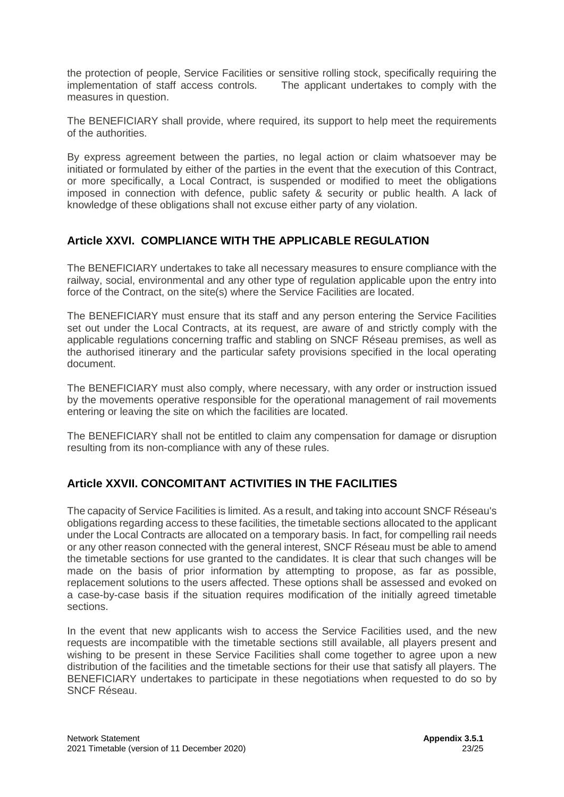the protection of people, Service Facilities or sensitive rolling stock, specifically requiring the implementation of staff access controls. The applicant undertakes to comply with the measures in question.

The BENEFICIARY shall provide, where required, its support to help meet the requirements of the authorities.

By express agreement between the parties, no legal action or claim whatsoever may be initiated or formulated by either of the parties in the event that the execution of this Contract, or more specifically, a Local Contract, is suspended or modified to meet the obligations imposed in connection with defence, public safety & security or public health. A lack of knowledge of these obligations shall not excuse either party of any violation.

# <span id="page-22-0"></span>**Article XXVI. COMPLIANCE WITH THE APPLICABLE REGULATION**

The BENEFICIARY undertakes to take all necessary measures to ensure compliance with the railway, social, environmental and any other type of regulation applicable upon the entry into force of the Contract, on the site(s) where the Service Facilities are located.

The BENEFICIARY must ensure that its staff and any person entering the Service Facilities set out under the Local Contracts, at its request, are aware of and strictly comply with the applicable regulations concerning traffic and stabling on SNCF Réseau premises, as well as the authorised itinerary and the particular safety provisions specified in the local operating document.

The BENEFICIARY must also comply, where necessary, with any order or instruction issued by the movements operative responsible for the operational management of rail movements entering or leaving the site on which the facilities are located.

The BENEFICIARY shall not be entitled to claim any compensation for damage or disruption resulting from its non-compliance with any of these rules.

# <span id="page-22-1"></span>**Article XXVII. CONCOMITANT ACTIVITIES IN THE FACILITIES**

The capacity of Service Facilities is limited. As a result, and taking into account SNCF Réseau's obligations regarding access to these facilities, the timetable sections allocated to the applicant under the Local Contracts are allocated on a temporary basis. In fact, for compelling rail needs or any other reason connected with the general interest, SNCF Réseau must be able to amend the timetable sections for use granted to the candidates. It is clear that such changes will be made on the basis of prior information by attempting to propose, as far as possible, replacement solutions to the users affected. These options shall be assessed and evoked on a case-by-case basis if the situation requires modification of the initially agreed timetable sections.

In the event that new applicants wish to access the Service Facilities used, and the new requests are incompatible with the timetable sections still available, all players present and wishing to be present in these Service Facilities shall come together to agree upon a new distribution of the facilities and the timetable sections for their use that satisfy all players. The BENEFICIARY undertakes to participate in these negotiations when requested to do so by SNCF Réseau.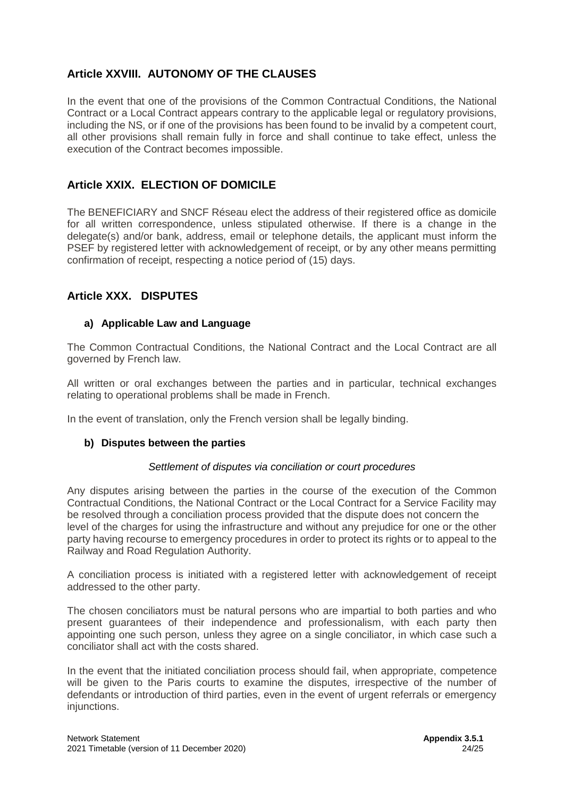# <span id="page-23-0"></span>**Article XXVIII. AUTONOMY OF THE CLAUSES**

In the event that one of the provisions of the Common Contractual Conditions, the National Contract or a Local Contract appears contrary to the applicable legal or regulatory provisions, including the NS, or if one of the provisions has been found to be invalid by a competent court, all other provisions shall remain fully in force and shall continue to take effect, unless the execution of the Contract becomes impossible.

# <span id="page-23-1"></span>**Article XXIX. ELECTION OF DOMICILE**

The BENEFICIARY and SNCF Réseau elect the address of their registered office as domicile for all written correspondence, unless stipulated otherwise. If there is a change in the delegate(s) and/or bank, address, email or telephone details, the applicant must inform the PSEF by registered letter with acknowledgement of receipt, or by any other means permitting confirmation of receipt, respecting a notice period of (15) days.

# <span id="page-23-2"></span>**Article XXX. DISPUTES**

### **a) Applicable Law and Language**

The Common Contractual Conditions, the National Contract and the Local Contract are all governed by French law.

All written or oral exchanges between the parties and in particular, technical exchanges relating to operational problems shall be made in French.

In the event of translation, only the French version shall be legally binding.

### **b) Disputes between the parties**

#### *Settlement of disputes via conciliation or court procedures*

Any disputes arising between the parties in the course of the execution of the Common Contractual Conditions, the National Contract or the Local Contract for a Service Facility may be resolved through a conciliation process provided that the dispute does not concern the level of the charges for using the infrastructure and without any prejudice for one or the other party having recourse to emergency procedures in order to protect its rights or to appeal to the Railway and Road Regulation Authority.

A conciliation process is initiated with a registered letter with acknowledgement of receipt addressed to the other party.

The chosen conciliators must be natural persons who are impartial to both parties and who present guarantees of their independence and professionalism, with each party then appointing one such person, unless they agree on a single conciliator, in which case such a conciliator shall act with the costs shared.

In the event that the initiated conciliation process should fail, when appropriate, competence will be given to the Paris courts to examine the disputes, irrespective of the number of defendants or introduction of third parties, even in the event of urgent referrals or emergency injunctions.